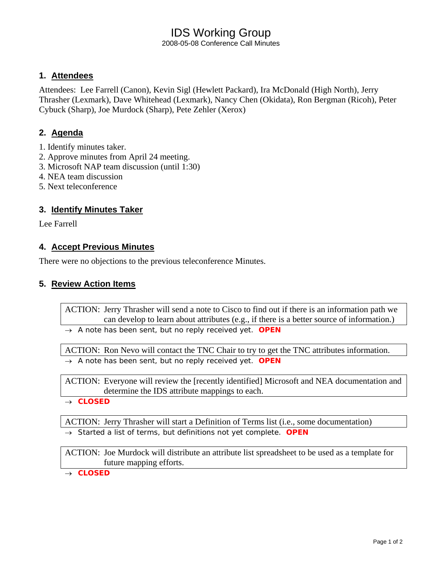# IDS Working Group

2008-05-08 Conference Call Minutes

# **1. Attendees**

Attendees: Lee Farrell (Canon), Kevin Sigl (Hewlett Packard), Ira McDonald (High North), Jerry Thrasher (Lexmark), Dave Whitehead (Lexmark), Nancy Chen (Okidata), Ron Bergman (Ricoh), Peter Cybuck (Sharp), Joe Murdock (Sharp), Pete Zehler (Xerox)

# **2. Agenda**

- 1. Identify minutes taker.
- 2. Approve minutes from April 24 meeting.
- 3. Microsoft NAP team discussion (until 1:30)
- 4. NEA team discussion
- 5. Next teleconference

### **3. Identify Minutes Taker**

Lee Farrell

### **4. Accept Previous Minutes**

There were no objections to the previous teleconference Minutes.

#### **5. Review Action Items**

ACTION: Jerry Thrasher will send a note to Cisco to find out if there is an information path we can develop to learn about attributes (e.g., if there is a better source of information.)

→ *A note has been sent, but no reply received yet. OPEN* 

ACTION: Ron Nevo will contact the TNC Chair to try to get the TNC attributes information. → *A note has been sent, but no reply received yet. OPEN* 

ACTION: Everyone will review the [recently identified] Microsoft and NEA documentation and determine the IDS attribute mappings to each.

→ *CLOSED* 

ACTION: Jerry Thrasher will start a Definition of Terms list (i.e., some documentation)

→ *Started a list of terms, but definitions not yet complete*. *OPEN* 

ACTION: Joe Murdock will distribute an attribute list spreadsheet to be used as a template for future mapping efforts.

→ *CLOSED*